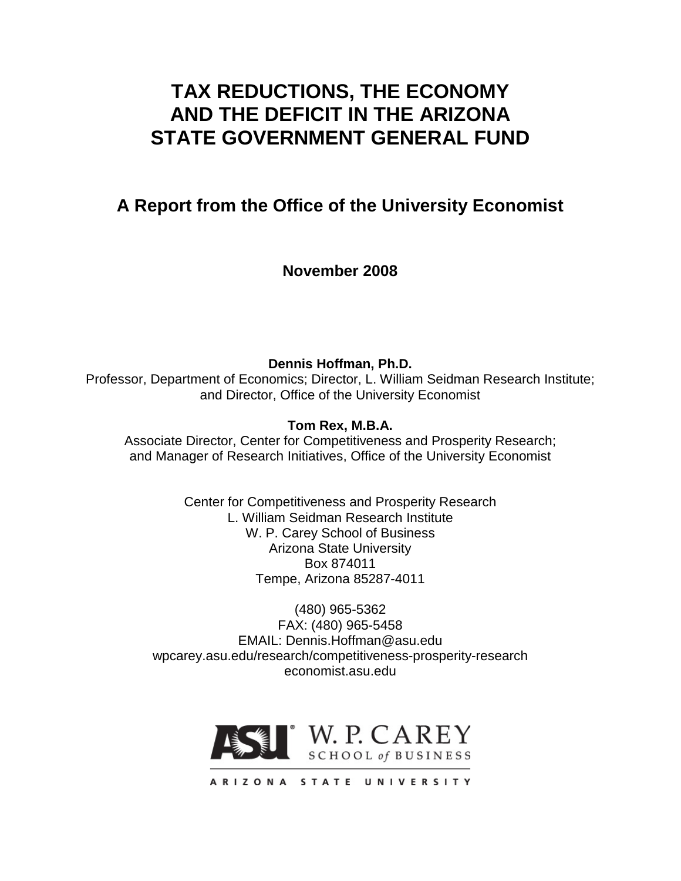# **TAX REDUCTIONS, THE ECONOMY AND THE DEFICIT IN THE ARIZONA STATE GOVERNMENT GENERAL FUND**

## **A Report from the Office of the University Economist**

**November 2008**

**Dennis Hoffman, Ph.D.** Professor, Department of Economics; Director, L. William Seidman Research Institute; and Director, Office of the University Economist

**Tom Rex, M.B.A.**

Associate Director, Center for Competitiveness and Prosperity Research; and Manager of Research Initiatives, Office of the University Economist

> Center for Competitiveness and Prosperity Research L. William Seidman Research Institute W. P. Carey School of Business Arizona State University Box 874011 Tempe, Arizona 85287-4011

(480) 965-5362 FAX: (480) 965-5458 EMAIL: Dennis.Hoffman@asu.edu wpcarey.asu.edu/research/competitiveness-prosperity-research economist.asu.edu

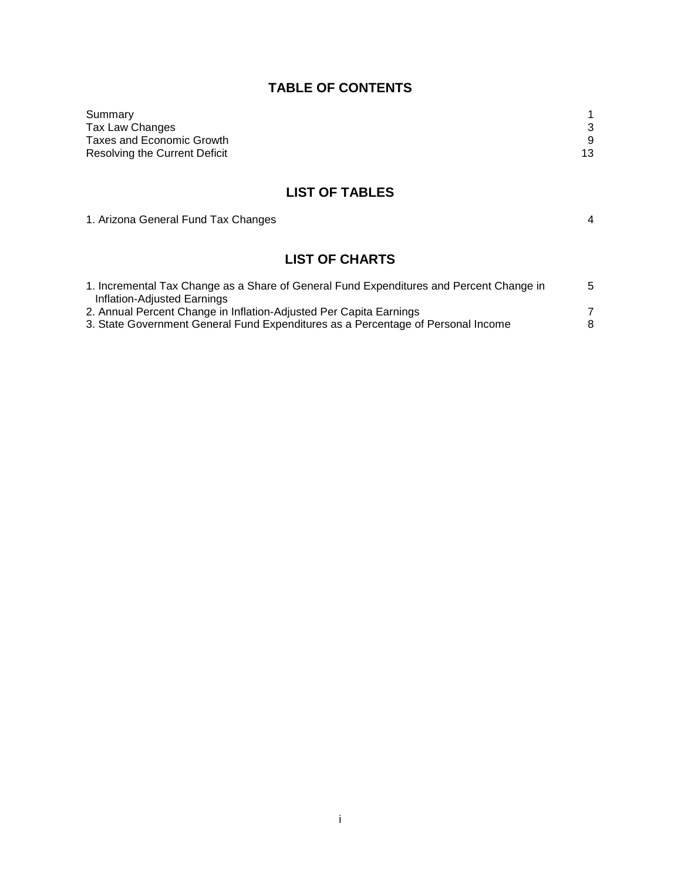## **TABLE OF CONTENTS**

| Summary                       |    |
|-------------------------------|----|
| Tax Law Changes               |    |
| Taxes and Economic Growth     |    |
| Resolving the Current Deficit | 13 |

### **LIST OF TABLES**

1. Arizona General Fund Tax Changes 4

## **LIST OF CHARTS**

| 1. Incremental Tax Change as a Share of General Fund Expenditures and Percent Change in | -5 |
|-----------------------------------------------------------------------------------------|----|
| Inflation-Adiusted Earnings                                                             |    |
| 2. Annual Percent Change in Inflation-Adjusted Per Capita Earnings                      |    |
| 3. State Government General Fund Expenditures as a Percentage of Personal Income        | 8  |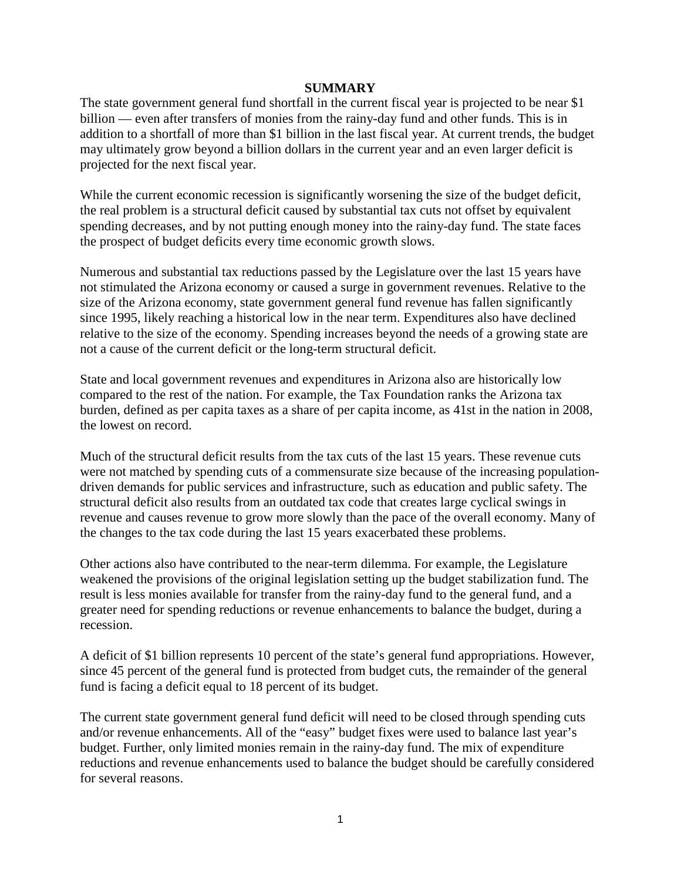#### **SUMMARY**

The state government general fund shortfall in the current fiscal year is projected to be near \$1 billion — even after transfers of monies from the rainy-day fund and other funds. This is in addition to a shortfall of more than \$1 billion in the last fiscal year. At current trends, the budget may ultimately grow beyond a billion dollars in the current year and an even larger deficit is projected for the next fiscal year.

While the current economic recession is significantly worsening the size of the budget deficit, the real problem is a structural deficit caused by substantial tax cuts not offset by equivalent spending decreases, and by not putting enough money into the rainy-day fund. The state faces the prospect of budget deficits every time economic growth slows.

Numerous and substantial tax reductions passed by the Legislature over the last 15 years have not stimulated the Arizona economy or caused a surge in government revenues. Relative to the size of the Arizona economy, state government general fund revenue has fallen significantly since 1995, likely reaching a historical low in the near term. Expenditures also have declined relative to the size of the economy. Spending increases beyond the needs of a growing state are not a cause of the current deficit or the long-term structural deficit.

State and local government revenues and expenditures in Arizona also are historically low compared to the rest of the nation. For example, the Tax Foundation ranks the Arizona tax burden, defined as per capita taxes as a share of per capita income, as 41st in the nation in 2008, the lowest on record.

Much of the structural deficit results from the tax cuts of the last 15 years. These revenue cuts were not matched by spending cuts of a commensurate size because of the increasing populationdriven demands for public services and infrastructure, such as education and public safety. The structural deficit also results from an outdated tax code that creates large cyclical swings in revenue and causes revenue to grow more slowly than the pace of the overall economy. Many of the changes to the tax code during the last 15 years exacerbated these problems.

Other actions also have contributed to the near-term dilemma. For example, the Legislature weakened the provisions of the original legislation setting up the budget stabilization fund. The result is less monies available for transfer from the rainy-day fund to the general fund, and a greater need for spending reductions or revenue enhancements to balance the budget, during a recession.

A deficit of \$1 billion represents 10 percent of the state's general fund appropriations. However, since 45 percent of the general fund is protected from budget cuts, the remainder of the general fund is facing a deficit equal to 18 percent of its budget.

The current state government general fund deficit will need to be closed through spending cuts and/or revenue enhancements. All of the "easy" budget fixes were used to balance last year's budget. Further, only limited monies remain in the rainy-day fund. The mix of expenditure reductions and revenue enhancements used to balance the budget should be carefully considered for several reasons.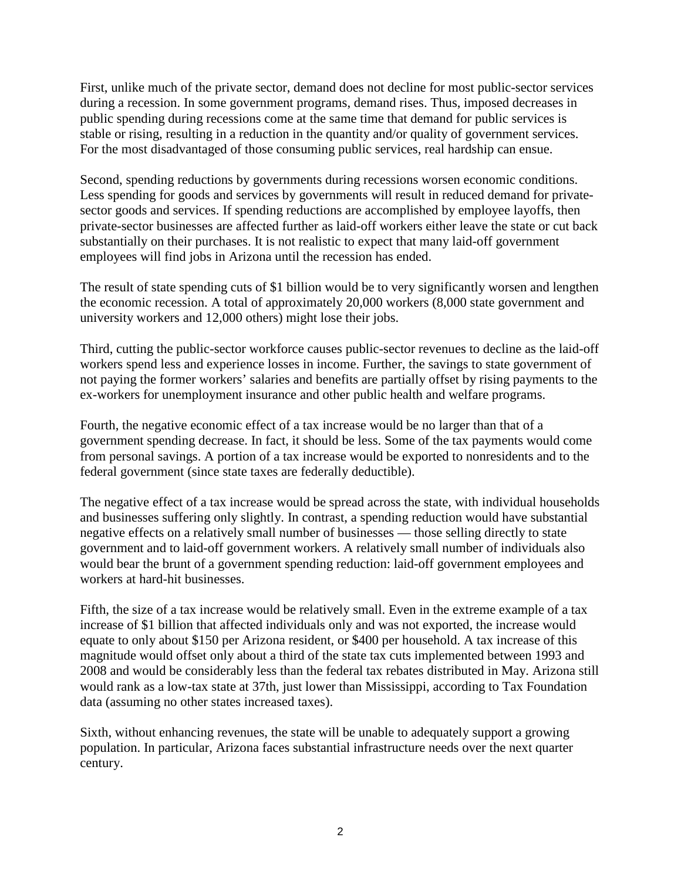First, unlike much of the private sector, demand does not decline for most public-sector services during a recession. In some government programs, demand rises. Thus, imposed decreases in public spending during recessions come at the same time that demand for public services is stable or rising, resulting in a reduction in the quantity and/or quality of government services. For the most disadvantaged of those consuming public services, real hardship can ensue.

Second, spending reductions by governments during recessions worsen economic conditions. Less spending for goods and services by governments will result in reduced demand for privatesector goods and services. If spending reductions are accomplished by employee layoffs, then private-sector businesses are affected further as laid-off workers either leave the state or cut back substantially on their purchases. It is not realistic to expect that many laid-off government employees will find jobs in Arizona until the recession has ended.

The result of state spending cuts of \$1 billion would be to very significantly worsen and lengthen the economic recession. A total of approximately 20,000 workers (8,000 state government and university workers and 12,000 others) might lose their jobs.

Third, cutting the public-sector workforce causes public-sector revenues to decline as the laid-off workers spend less and experience losses in income. Further, the savings to state government of not paying the former workers' salaries and benefits are partially offset by rising payments to the ex-workers for unemployment insurance and other public health and welfare programs.

Fourth, the negative economic effect of a tax increase would be no larger than that of a government spending decrease. In fact, it should be less. Some of the tax payments would come from personal savings. A portion of a tax increase would be exported to nonresidents and to the federal government (since state taxes are federally deductible).

The negative effect of a tax increase would be spread across the state, with individual households and businesses suffering only slightly. In contrast, a spending reduction would have substantial negative effects on a relatively small number of businesses — those selling directly to state government and to laid-off government workers. A relatively small number of individuals also would bear the brunt of a government spending reduction: laid-off government employees and workers at hard-hit businesses.

Fifth, the size of a tax increase would be relatively small. Even in the extreme example of a tax increase of \$1 billion that affected individuals only and was not exported, the increase would equate to only about \$150 per Arizona resident, or \$400 per household. A tax increase of this magnitude would offset only about a third of the state tax cuts implemented between 1993 and 2008 and would be considerably less than the federal tax rebates distributed in May. Arizona still would rank as a low-tax state at 37th, just lower than Mississippi, according to Tax Foundation data (assuming no other states increased taxes).

Sixth, without enhancing revenues, the state will be unable to adequately support a growing population. In particular, Arizona faces substantial infrastructure needs over the next quarter century.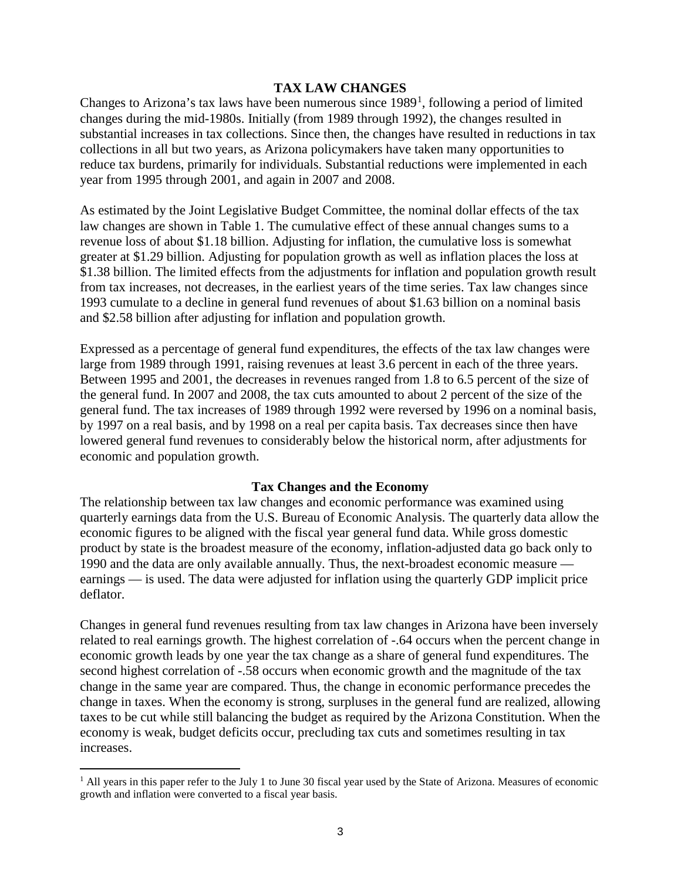#### **TAX LAW CHANGES**

Changes to Arizona's tax laws have been numerous since  $1989<sup>1</sup>$  $1989<sup>1</sup>$ , following a period of limited changes during the mid-1980s. Initially (from 1989 through 1992), the changes resulted in substantial increases in tax collections. Since then, the changes have resulted in reductions in tax collections in all but two years, as Arizona policymakers have taken many opportunities to reduce tax burdens, primarily for individuals. Substantial reductions were implemented in each year from 1995 through 2001, and again in 2007 and 2008.

As estimated by the Joint Legislative Budget Committee, the nominal dollar effects of the tax law changes are shown in Table 1. The cumulative effect of these annual changes sums to a revenue loss of about \$1.18 billion. Adjusting for inflation, the cumulative loss is somewhat greater at \$1.29 billion. Adjusting for population growth as well as inflation places the loss at \$1.38 billion. The limited effects from the adjustments for inflation and population growth result from tax increases, not decreases, in the earliest years of the time series. Tax law changes since 1993 cumulate to a decline in general fund revenues of about \$1.63 billion on a nominal basis and \$2.58 billion after adjusting for inflation and population growth.

Expressed as a percentage of general fund expenditures, the effects of the tax law changes were large from 1989 through 1991, raising revenues at least 3.6 percent in each of the three years. Between 1995 and 2001, the decreases in revenues ranged from 1.8 to 6.5 percent of the size of the general fund. In 2007 and 2008, the tax cuts amounted to about 2 percent of the size of the general fund. The tax increases of 1989 through 1992 were reversed by 1996 on a nominal basis, by 1997 on a real basis, and by 1998 on a real per capita basis. Tax decreases since then have lowered general fund revenues to considerably below the historical norm, after adjustments for economic and population growth.

#### **Tax Changes and the Economy**

The relationship between tax law changes and economic performance was examined using quarterly earnings data from the U.S. Bureau of Economic Analysis. The quarterly data allow the economic figures to be aligned with the fiscal year general fund data. While gross domestic product by state is the broadest measure of the economy, inflation-adjusted data go back only to 1990 and the data are only available annually. Thus, the next-broadest economic measure earnings — is used. The data were adjusted for inflation using the quarterly GDP implicit price deflator.

Changes in general fund revenues resulting from tax law changes in Arizona have been inversely related to real earnings growth. The highest correlation of  $-.64$  occurs when the percent change in economic growth leads by one year the tax change as a share of general fund expenditures. The second highest correlation of -.58 occurs when economic growth and the magnitude of the tax change in the same year are compared. Thus, the change in economic performance precedes the change in taxes. When the economy is strong, surpluses in the general fund are realized, allowing taxes to be cut while still balancing the budget as required by the Arizona Constitution. When the economy is weak, budget deficits occur, precluding tax cuts and sometimes resulting in tax increases.

 $\overline{a}$ 

<span id="page-4-0"></span> $<sup>1</sup>$  All years in this paper refer to the July 1 to June 30 fiscal year used by the State of Arizona. Measures of economic</sup> growth and inflation were converted to a fiscal year basis.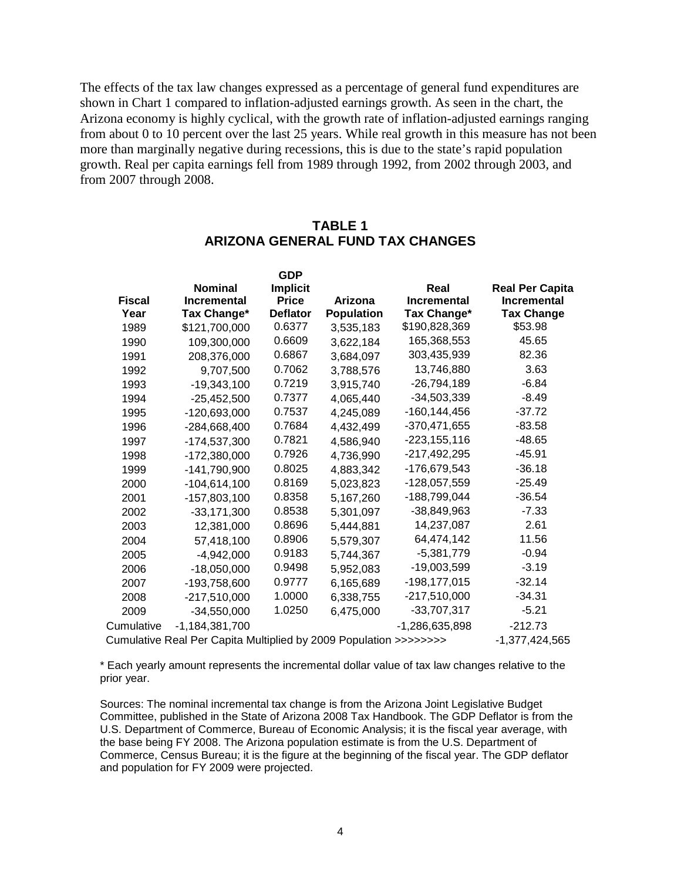The effects of the tax law changes expressed as a percentage of general fund expenditures are shown in Chart 1 compared to inflation-adjusted earnings growth. As seen in the chart, the Arizona economy is highly cyclical, with the growth rate of inflation-adjusted earnings ranging from about 0 to 10 percent over the last 25 years. While real growth in this measure has not been more than marginally negative during recessions, this is due to the state's rapid population growth. Real per capita earnings fell from 1989 through 1992, from 2002 through 2003, and from 2007 through 2008.

|                                                                   |                | <b>GDP</b>      |                |                    |                        |
|-------------------------------------------------------------------|----------------|-----------------|----------------|--------------------|------------------------|
|                                                                   | <b>Nominal</b> | <b>Implicit</b> |                | Real               | <b>Real Per Capita</b> |
| <b>Fiscal</b>                                                     | Incremental    | <b>Price</b>    | <b>Arizona</b> | <b>Incremental</b> | Incremental            |
| Year                                                              | Tax Change*    | <b>Deflator</b> | Population     | Tax Change*        | <b>Tax Change</b>      |
| 1989                                                              | \$121,700,000  | 0.6377          | 3,535,183      | \$190,828,369      | \$53.98                |
| 1990                                                              | 109,300,000    | 0.6609          | 3,622,184      | 165,368,553        | 45.65                  |
| 1991                                                              | 208,376,000    | 0.6867          | 3,684,097      | 303,435,939        | 82.36                  |
| 1992                                                              | 9,707,500      | 0.7062          | 3,788,576      | 13,746,880         | 3.63                   |
| 1993                                                              | $-19,343,100$  | 0.7219          | 3,915,740      | -26,794,189        | $-6.84$                |
| 1994                                                              | $-25,452,500$  | 0.7377          | 4,065,440      | $-34,503,339$      | $-8.49$                |
| 1995                                                              | -120,693,000   | 0.7537          | 4,245,089      | $-160, 144, 456$   | $-37.72$               |
| 1996                                                              | $-284,668,400$ | 0.7684          | 4,432,499      | -370,471,655       | $-83.58$               |
| 1997                                                              | $-174,537,300$ | 0.7821          | 4,586,940      | $-223, 155, 116$   | $-48.65$               |
| 1998                                                              | -172,380,000   | 0.7926          | 4,736,990      | $-217,492,295$     | $-45.91$               |
| 1999                                                              | $-141,790,900$ | 0.8025          | 4,883,342      | -176,679,543       | $-36.18$               |
| 2000                                                              | $-104,614,100$ | 0.8169          | 5,023,823      | -128,057,559       | $-25.49$               |
| 2001                                                              | $-157,803,100$ | 0.8358          | 5,167,260      | -188,799,044       | $-36.54$               |
| 2002                                                              | $-33,171,300$  | 0.8538          | 5,301,097      | $-38,849,963$      | $-7.33$                |
| 2003                                                              | 12,381,000     | 0.8696          | 5,444,881      | 14,237,087         | 2.61                   |
| 2004                                                              | 57,418,100     | 0.8906          | 5,579,307      | 64,474,142         | 11.56                  |
| 2005                                                              | $-4,942,000$   | 0.9183          | 5,744,367      | $-5,381,779$       | $-0.94$                |
| 2006                                                              | $-18,050,000$  | 0.9498          | 5,952,083      | -19,003,599        | $-3.19$                |
| 2007                                                              | -193,758,600   | 0.9777          | 6,165,689      | -198,177,015       | $-32.14$               |
| 2008                                                              | $-217,510,000$ | 1.0000          | 6,338,755      | $-217,510,000$     | $-34.31$               |
| 2009                                                              | $-34,550,000$  | 1.0250          | 6,475,000      | $-33,707,317$      | $-5.21$                |
| Cumulative                                                        | -1,184,381,700 |                 |                | -1,286,635,898     | $-212.73$              |
| Cumulative Real Per Capita Multiplied by 2009 Population >>>>>>>> |                |                 |                |                    | -1,377,424,565         |

#### **TABLE 1 ARIZONA GENERAL FUND TAX CHANGES**

\* Each yearly amount represents the incremental dollar value of tax law changes relative to the prior year.

Sources: The nominal incremental tax change is from the Arizona Joint Legislative Budget Committee, published in the State of Arizona 2008 Tax Handbook. The GDP Deflator is from the U.S. Department of Commerce, Bureau of Economic Analysis; it is the fiscal year average, with the base being FY 2008. The Arizona population estimate is from the U.S. Department of Commerce, Census Bureau; it is the figure at the beginning of the fiscal year. The GDP deflator and population for FY 2009 were projected.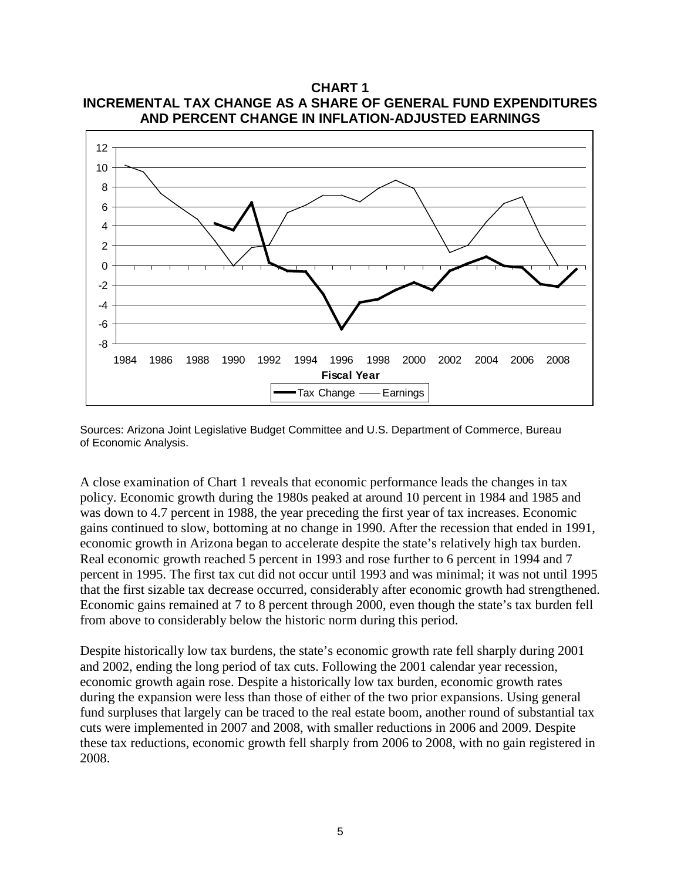

**CHART 1 INCREMENTAL TAX CHANGE AS A SHARE OF GENERAL FUND EXPENDITURES AND PERCENT CHANGE IN INFLATION-ADJUSTED EARNINGS**

Sources: Arizona Joint Legislative Budget Committee and U.S. Department of Commerce, Bureau of Economic Analysis.

A close examination of Chart 1 reveals that economic performance leads the changes in tax policy. Economic growth during the 1980s peaked at around 10 percent in 1984 and 1985 and was down to 4.7 percent in 1988, the year preceding the first year of tax increases. Economic gains continued to slow, bottoming at no change in 1990. After the recession that ended in 1991, economic growth in Arizona began to accelerate despite the state's relatively high tax burden. Real economic growth reached 5 percent in 1993 and rose further to 6 percent in 1994 and 7 percent in 1995. The first tax cut did not occur until 1993 and was minimal; it was not until 1995 that the first sizable tax decrease occurred, considerably after economic growth had strengthened. Economic gains remained at 7 to 8 percent through 2000, even though the state's tax burden fell from above to considerably below the historic norm during this period.

Despite historically low tax burdens, the state's economic growth rate fell sharply during 2001 and 2002, ending the long period of tax cuts. Following the 2001 calendar year recession, economic growth again rose. Despite a historically low tax burden, economic growth rates during the expansion were less than those of either of the two prior expansions. Using general fund surpluses that largely can be traced to the real estate boom, another round of substantial tax cuts were implemented in 2007 and 2008, with smaller reductions in 2006 and 2009. Despite these tax reductions, economic growth fell sharply from 2006 to 2008, with no gain registered in 2008.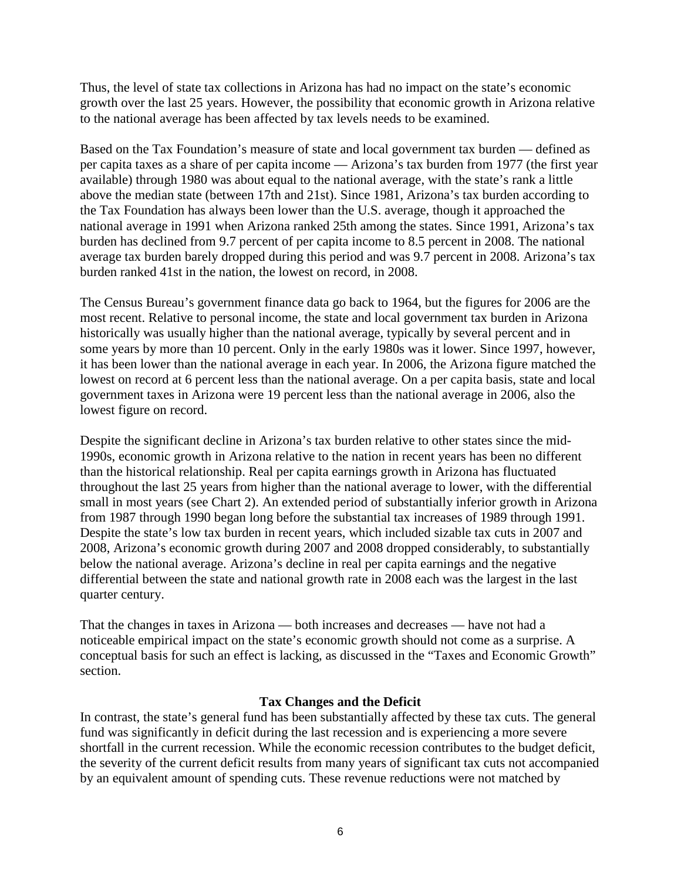Thus, the level of state tax collections in Arizona has had no impact on the state's economic growth over the last 25 years. However, the possibility that economic growth in Arizona relative to the national average has been affected by tax levels needs to be examined.

Based on the Tax Foundation's measure of state and local government tax burden — defined as per capita taxes as a share of per capita income — Arizona's tax burden from 1977 (the first year available) through 1980 was about equal to the national average, with the state's rank a little above the median state (between 17th and 21st). Since 1981, Arizona's tax burden according to the Tax Foundation has always been lower than the U.S. average, though it approached the national average in 1991 when Arizona ranked 25th among the states. Since 1991, Arizona's tax burden has declined from 9.7 percent of per capita income to 8.5 percent in 2008. The national average tax burden barely dropped during this period and was 9.7 percent in 2008. Arizona's tax burden ranked 41st in the nation, the lowest on record, in 2008.

The Census Bureau's government finance data go back to 1964, but the figures for 2006 are the most recent. Relative to personal income, the state and local government tax burden in Arizona historically was usually higher than the national average, typically by several percent and in some years by more than 10 percent. Only in the early 1980s was it lower. Since 1997, however, it has been lower than the national average in each year. In 2006, the Arizona figure matched the lowest on record at 6 percent less than the national average. On a per capita basis, state and local government taxes in Arizona were 19 percent less than the national average in 2006, also the lowest figure on record.

Despite the significant decline in Arizona's tax burden relative to other states since the mid-1990s, economic growth in Arizona relative to the nation in recent years has been no different than the historical relationship. Real per capita earnings growth in Arizona has fluctuated throughout the last 25 years from higher than the national average to lower, with the differential small in most years (see Chart 2). An extended period of substantially inferior growth in Arizona from 1987 through 1990 began long before the substantial tax increases of 1989 through 1991. Despite the state's low tax burden in recent years, which included sizable tax cuts in 2007 and 2008, Arizona's economic growth during 2007 and 2008 dropped considerably, to substantially below the national average. Arizona's decline in real per capita earnings and the negative differential between the state and national growth rate in 2008 each was the largest in the last quarter century.

That the changes in taxes in Arizona — both increases and decreases — have not had a noticeable empirical impact on the state's economic growth should not come as a surprise. A conceptual basis for such an effect is lacking, as discussed in the "Taxes and Economic Growth" section.

#### **Tax Changes and the Deficit**

In contrast, the state's general fund has been substantially affected by these tax cuts. The general fund was significantly in deficit during the last recession and is experiencing a more severe shortfall in the current recession. While the economic recession contributes to the budget deficit, the severity of the current deficit results from many years of significant tax cuts not accompanied by an equivalent amount of spending cuts. These revenue reductions were not matched by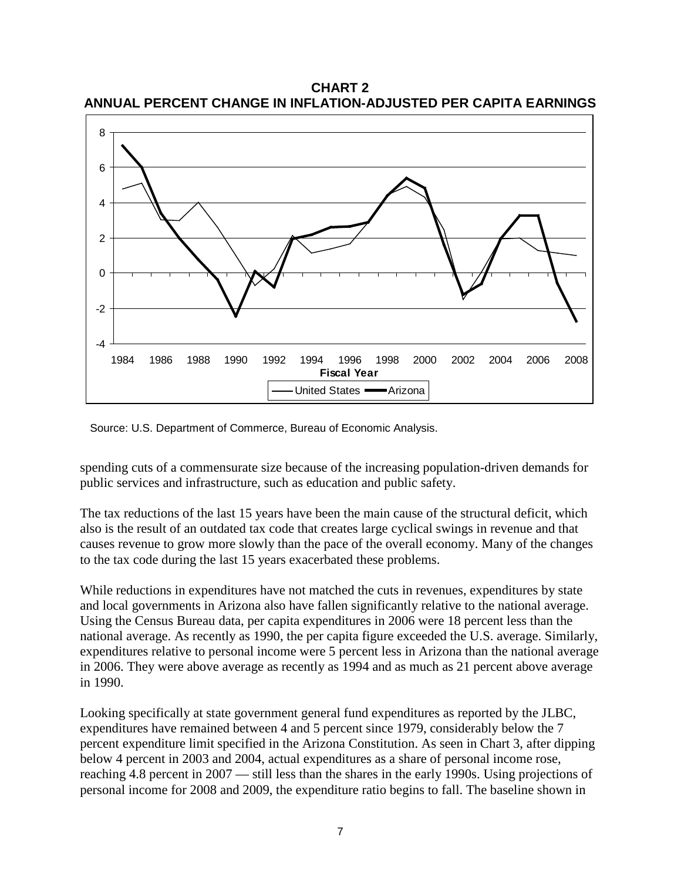-4 -2  $\Omega$ 2 4 6 8 1984 1986 1988 1990 1992 1994 1996 1998 2000 2002 2004 2006 2008 **Fiscal Year** United States **-**Arizona

**CHART 2 ANNUAL PERCENT CHANGE IN INFLATION-ADJUSTED PER CAPITA EARNINGS**

Source: U.S. Department of Commerce, Bureau of Economic Analysis.

spending cuts of a commensurate size because of the increasing population-driven demands for public services and infrastructure, such as education and public safety.

The tax reductions of the last 15 years have been the main cause of the structural deficit, which also is the result of an outdated tax code that creates large cyclical swings in revenue and that causes revenue to grow more slowly than the pace of the overall economy. Many of the changes to the tax code during the last 15 years exacerbated these problems.

While reductions in expenditures have not matched the cuts in revenues, expenditures by state and local governments in Arizona also have fallen significantly relative to the national average. Using the Census Bureau data, per capita expenditures in 2006 were 18 percent less than the national average. As recently as 1990, the per capita figure exceeded the U.S. average. Similarly, expenditures relative to personal income were 5 percent less in Arizona than the national average in 2006. They were above average as recently as 1994 and as much as 21 percent above average in 1990.

Looking specifically at state government general fund expenditures as reported by the JLBC, expenditures have remained between 4 and 5 percent since 1979, considerably below the 7 percent expenditure limit specified in the Arizona Constitution. As seen in Chart 3, after dipping below 4 percent in 2003 and 2004, actual expenditures as a share of personal income rose, reaching 4.8 percent in 2007 — still less than the shares in the early 1990s. Using projections of personal income for 2008 and 2009, the expenditure ratio begins to fall. The baseline shown in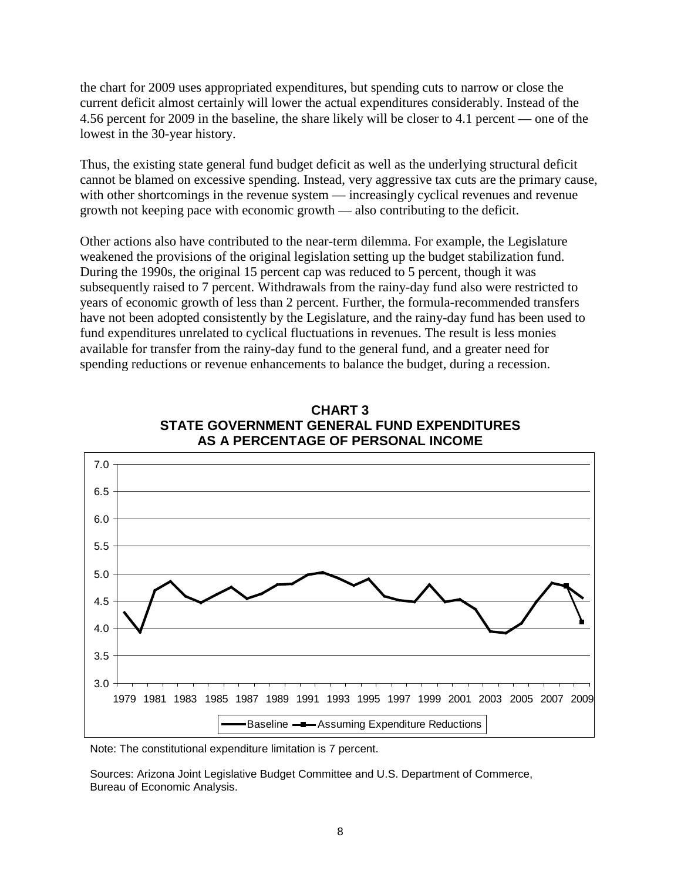the chart for 2009 uses appropriated expenditures, but spending cuts to narrow or close the current deficit almost certainly will lower the actual expenditures considerably. Instead of the 4.56 percent for 2009 in the baseline, the share likely will be closer to 4.1 percent — one of the lowest in the 30-year history.

Thus, the existing state general fund budget deficit as well as the underlying structural deficit cannot be blamed on excessive spending. Instead, very aggressive tax cuts are the primary cause, with other shortcomings in the revenue system — increasingly cyclical revenues and revenue growth not keeping pace with economic growth — also contributing to the deficit.

Other actions also have contributed to the near-term dilemma. For example, the Legislature weakened the provisions of the original legislation setting up the budget stabilization fund. During the 1990s, the original 15 percent cap was reduced to 5 percent, though it was subsequently raised to 7 percent. Withdrawals from the rainy-day fund also were restricted to years of economic growth of less than 2 percent. Further, the formula-recommended transfers have not been adopted consistently by the Legislature, and the rainy-day fund has been used to fund expenditures unrelated to cyclical fluctuations in revenues. The result is less monies available for transfer from the rainy-day fund to the general fund, and a greater need for spending reductions or revenue enhancements to balance the budget, during a recession.





Note: The constitutional expenditure limitation is 7 percent.

Sources: Arizona Joint Legislative Budget Committee and U.S. Department of Commerce, Bureau of Economic Analysis.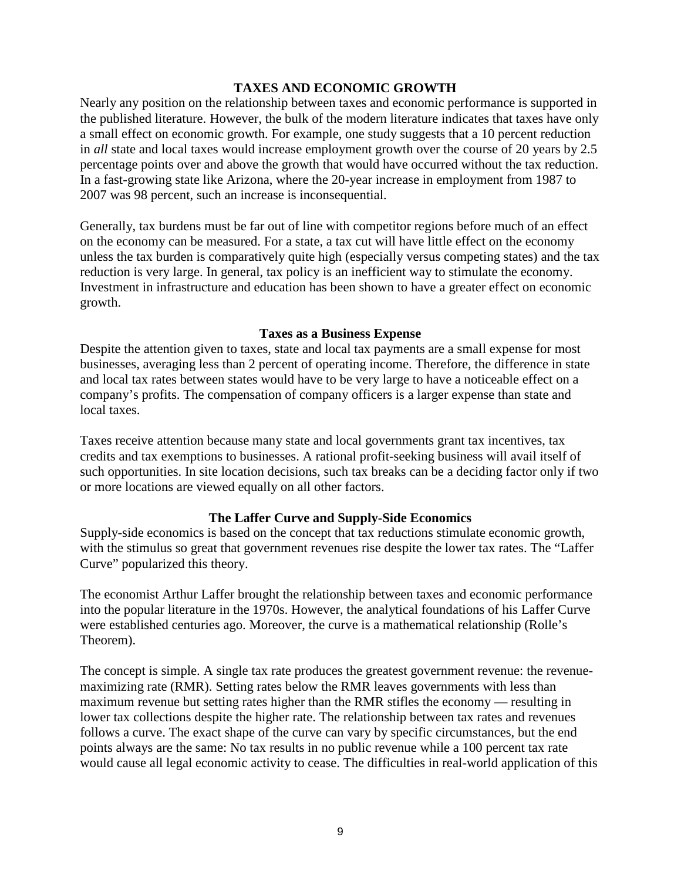#### **TAXES AND ECONOMIC GROWTH**

Nearly any position on the relationship between taxes and economic performance is supported in the published literature. However, the bulk of the modern literature indicates that taxes have only a small effect on economic growth. For example, one study suggests that a 10 percent reduction in *all* state and local taxes would increase employment growth over the course of 20 years by 2.5 percentage points over and above the growth that would have occurred without the tax reduction. In a fast-growing state like Arizona, where the 20-year increase in employment from 1987 to 2007 was 98 percent, such an increase is inconsequential.

Generally, tax burdens must be far out of line with competitor regions before much of an effect on the economy can be measured. For a state, a tax cut will have little effect on the economy unless the tax burden is comparatively quite high (especially versus competing states) and the tax reduction is very large. In general, tax policy is an inefficient way to stimulate the economy. Investment in infrastructure and education has been shown to have a greater effect on economic growth.

#### **Taxes as a Business Expense**

Despite the attention given to taxes, state and local tax payments are a small expense for most businesses, averaging less than 2 percent of operating income. Therefore, the difference in state and local tax rates between states would have to be very large to have a noticeable effect on a company's profits. The compensation of company officers is a larger expense than state and local taxes.

Taxes receive attention because many state and local governments grant tax incentives, tax credits and tax exemptions to businesses. A rational profit-seeking business will avail itself of such opportunities. In site location decisions, such tax breaks can be a deciding factor only if two or more locations are viewed equally on all other factors.

#### **The Laffer Curve and Supply-Side Economics**

Supply-side economics is based on the concept that tax reductions stimulate economic growth, with the stimulus so great that government revenues rise despite the lower tax rates. The "Laffer Curve" popularized this theory.

The economist Arthur Laffer brought the relationship between taxes and economic performance into the popular literature in the 1970s. However, the analytical foundations of his Laffer Curve were established centuries ago. Moreover, the curve is a mathematical relationship (Rolle's Theorem).

The concept is simple. A single tax rate produces the greatest government revenue: the revenuemaximizing rate (RMR). Setting rates below the RMR leaves governments with less than maximum revenue but setting rates higher than the RMR stifles the economy — resulting in lower tax collections despite the higher rate. The relationship between tax rates and revenues follows a curve. The exact shape of the curve can vary by specific circumstances, but the end points always are the same: No tax results in no public revenue while a 100 percent tax rate would cause all legal economic activity to cease. The difficulties in real-world application of this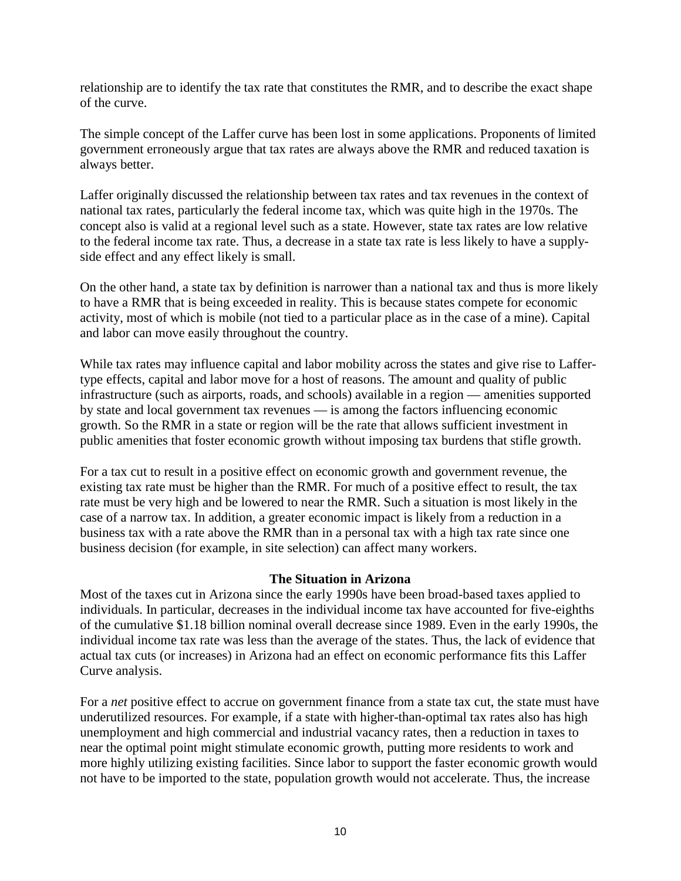relationship are to identify the tax rate that constitutes the RMR, and to describe the exact shape of the curve.

The simple concept of the Laffer curve has been lost in some applications. Proponents of limited government erroneously argue that tax rates are always above the RMR and reduced taxation is always better.

Laffer originally discussed the relationship between tax rates and tax revenues in the context of national tax rates, particularly the federal income tax, which was quite high in the 1970s. The concept also is valid at a regional level such as a state. However, state tax rates are low relative to the federal income tax rate. Thus, a decrease in a state tax rate is less likely to have a supplyside effect and any effect likely is small.

On the other hand, a state tax by definition is narrower than a national tax and thus is more likely to have a RMR that is being exceeded in reality. This is because states compete for economic activity, most of which is mobile (not tied to a particular place as in the case of a mine). Capital and labor can move easily throughout the country.

While tax rates may influence capital and labor mobility across the states and give rise to Laffertype effects, capital and labor move for a host of reasons. The amount and quality of public infrastructure (such as airports, roads, and schools) available in a region — amenities supported by state and local government tax revenues — is among the factors influencing economic growth. So the RMR in a state or region will be the rate that allows sufficient investment in public amenities that foster economic growth without imposing tax burdens that stifle growth.

For a tax cut to result in a positive effect on economic growth and government revenue, the existing tax rate must be higher than the RMR. For much of a positive effect to result, the tax rate must be very high and be lowered to near the RMR. Such a situation is most likely in the case of a narrow tax. In addition, a greater economic impact is likely from a reduction in a business tax with a rate above the RMR than in a personal tax with a high tax rate since one business decision (for example, in site selection) can affect many workers.

#### **The Situation in Arizona**

Most of the taxes cut in Arizona since the early 1990s have been broad-based taxes applied to individuals. In particular, decreases in the individual income tax have accounted for five-eighths of the cumulative \$1.18 billion nominal overall decrease since 1989. Even in the early 1990s, the individual income tax rate was less than the average of the states. Thus, the lack of evidence that actual tax cuts (or increases) in Arizona had an effect on economic performance fits this Laffer Curve analysis.

For a *net* positive effect to accrue on government finance from a state tax cut, the state must have underutilized resources. For example, if a state with higher-than-optimal tax rates also has high unemployment and high commercial and industrial vacancy rates, then a reduction in taxes to near the optimal point might stimulate economic growth, putting more residents to work and more highly utilizing existing facilities. Since labor to support the faster economic growth would not have to be imported to the state, population growth would not accelerate. Thus, the increase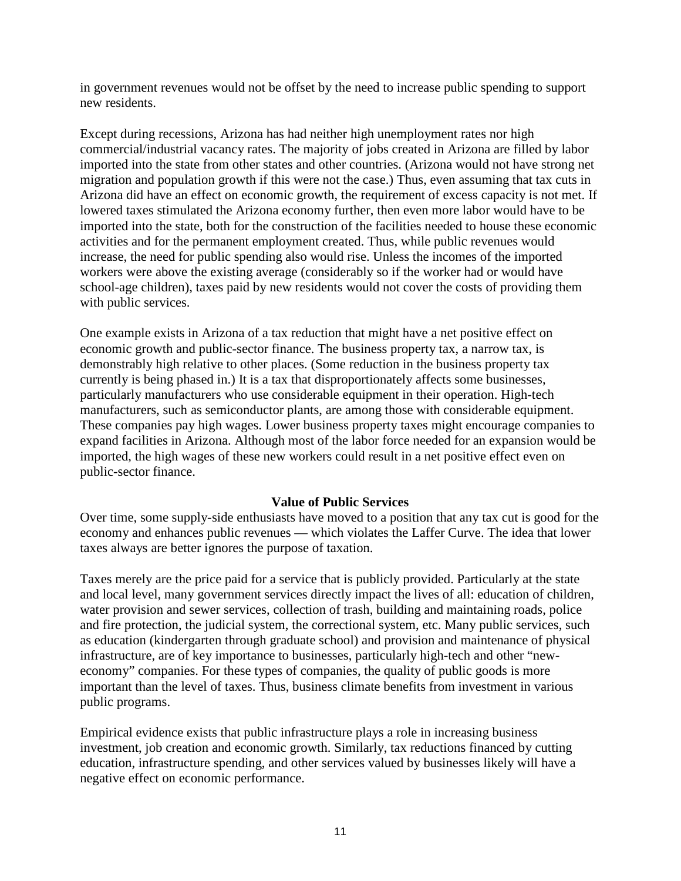in government revenues would not be offset by the need to increase public spending to support new residents.

Except during recessions, Arizona has had neither high unemployment rates nor high commercial/industrial vacancy rates. The majority of jobs created in Arizona are filled by labor imported into the state from other states and other countries. (Arizona would not have strong net migration and population growth if this were not the case.) Thus, even assuming that tax cuts in Arizona did have an effect on economic growth, the requirement of excess capacity is not met. If lowered taxes stimulated the Arizona economy further, then even more labor would have to be imported into the state, both for the construction of the facilities needed to house these economic activities and for the permanent employment created. Thus, while public revenues would increase, the need for public spending also would rise. Unless the incomes of the imported workers were above the existing average (considerably so if the worker had or would have school-age children), taxes paid by new residents would not cover the costs of providing them with public services.

One example exists in Arizona of a tax reduction that might have a net positive effect on economic growth and public-sector finance. The business property tax, a narrow tax, is demonstrably high relative to other places. (Some reduction in the business property tax currently is being phased in.) It is a tax that disproportionately affects some businesses, particularly manufacturers who use considerable equipment in their operation. High-tech manufacturers, such as semiconductor plants, are among those with considerable equipment. These companies pay high wages. Lower business property taxes might encourage companies to expand facilities in Arizona. Although most of the labor force needed for an expansion would be imported, the high wages of these new workers could result in a net positive effect even on public-sector finance.

#### **Value of Public Services**

Over time, some supply-side enthusiasts have moved to a position that any tax cut is good for the economy and enhances public revenues — which violates the Laffer Curve. The idea that lower taxes always are better ignores the purpose of taxation.

Taxes merely are the price paid for a service that is publicly provided. Particularly at the state and local level, many government services directly impact the lives of all: education of children, water provision and sewer services, collection of trash, building and maintaining roads, police and fire protection, the judicial system, the correctional system, etc. Many public services, such as education (kindergarten through graduate school) and provision and maintenance of physical infrastructure, are of key importance to businesses, particularly high-tech and other "neweconomy" companies. For these types of companies, the quality of public goods is more important than the level of taxes. Thus, business climate benefits from investment in various public programs.

Empirical evidence exists that public infrastructure plays a role in increasing business investment, job creation and economic growth. Similarly, tax reductions financed by cutting education, infrastructure spending, and other services valued by businesses likely will have a negative effect on economic performance.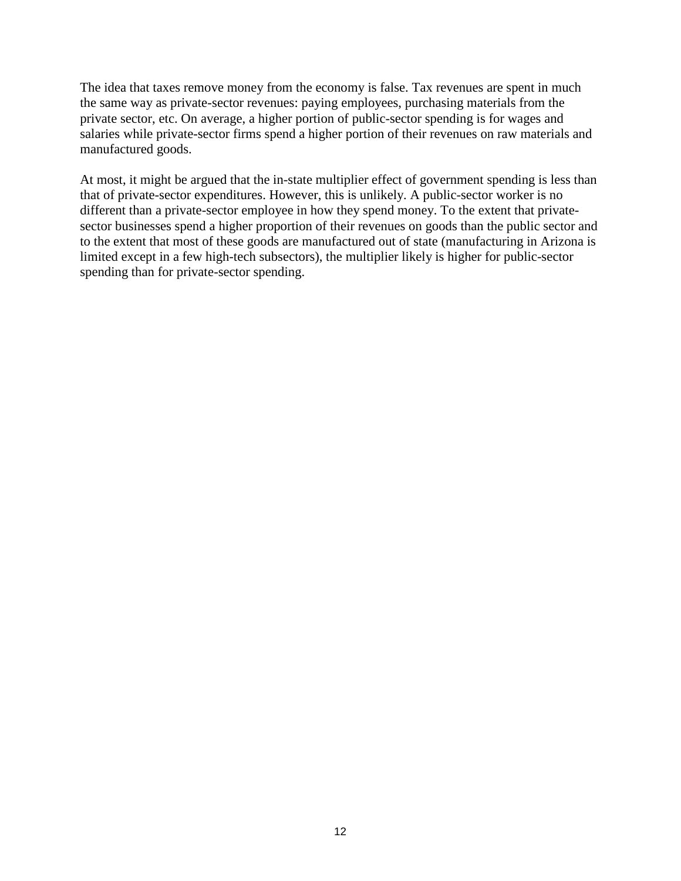The idea that taxes remove money from the economy is false. Tax revenues are spent in much the same way as private-sector revenues: paying employees, purchasing materials from the private sector, etc. On average, a higher portion of public-sector spending is for wages and salaries while private-sector firms spend a higher portion of their revenues on raw materials and manufactured goods.

At most, it might be argued that the in-state multiplier effect of government spending is less than that of private-sector expenditures. However, this is unlikely. A public-sector worker is no different than a private-sector employee in how they spend money. To the extent that privatesector businesses spend a higher proportion of their revenues on goods than the public sector and to the extent that most of these goods are manufactured out of state (manufacturing in Arizona is limited except in a few high-tech subsectors), the multiplier likely is higher for public-sector spending than for private-sector spending.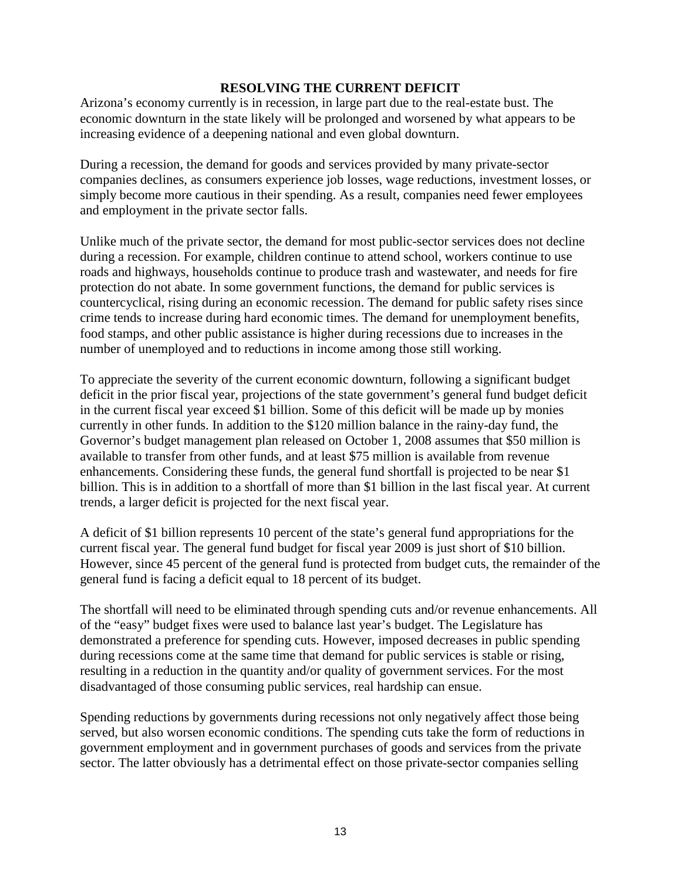#### **RESOLVING THE CURRENT DEFICIT**

Arizona's economy currently is in recession, in large part due to the real-estate bust. The economic downturn in the state likely will be prolonged and worsened by what appears to be increasing evidence of a deepening national and even global downturn.

During a recession, the demand for goods and services provided by many private-sector companies declines, as consumers experience job losses, wage reductions, investment losses, or simply become more cautious in their spending. As a result, companies need fewer employees and employment in the private sector falls.

Unlike much of the private sector, the demand for most public-sector services does not decline during a recession. For example, children continue to attend school, workers continue to use roads and highways, households continue to produce trash and wastewater, and needs for fire protection do not abate. In some government functions, the demand for public services is countercyclical, rising during an economic recession. The demand for public safety rises since crime tends to increase during hard economic times. The demand for unemployment benefits, food stamps, and other public assistance is higher during recessions due to increases in the number of unemployed and to reductions in income among those still working.

To appreciate the severity of the current economic downturn, following a significant budget deficit in the prior fiscal year, projections of the state government's general fund budget deficit in the current fiscal year exceed \$1 billion. Some of this deficit will be made up by monies currently in other funds. In addition to the \$120 million balance in the rainy-day fund, the Governor's budget management plan released on October 1, 2008 assumes that \$50 million is available to transfer from other funds, and at least \$75 million is available from revenue enhancements. Considering these funds, the general fund shortfall is projected to be near \$1 billion. This is in addition to a shortfall of more than \$1 billion in the last fiscal year. At current trends, a larger deficit is projected for the next fiscal year.

A deficit of \$1 billion represents 10 percent of the state's general fund appropriations for the current fiscal year. The general fund budget for fiscal year 2009 is just short of \$10 billion. However, since 45 percent of the general fund is protected from budget cuts, the remainder of the general fund is facing a deficit equal to 18 percent of its budget.

The shortfall will need to be eliminated through spending cuts and/or revenue enhancements. All of the "easy" budget fixes were used to balance last year's budget. The Legislature has demonstrated a preference for spending cuts. However, imposed decreases in public spending during recessions come at the same time that demand for public services is stable or rising, resulting in a reduction in the quantity and/or quality of government services. For the most disadvantaged of those consuming public services, real hardship can ensue.

Spending reductions by governments during recessions not only negatively affect those being served, but also worsen economic conditions. The spending cuts take the form of reductions in government employment and in government purchases of goods and services from the private sector. The latter obviously has a detrimental effect on those private-sector companies selling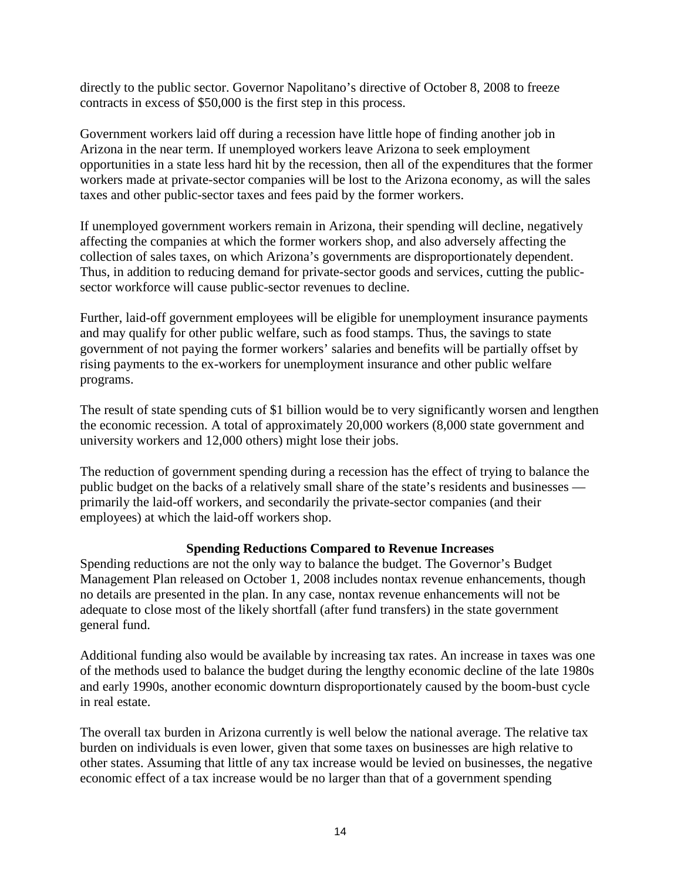directly to the public sector. Governor Napolitano's directive of October 8, 2008 to freeze contracts in excess of \$50,000 is the first step in this process.

Government workers laid off during a recession have little hope of finding another job in Arizona in the near term. If unemployed workers leave Arizona to seek employment opportunities in a state less hard hit by the recession, then all of the expenditures that the former workers made at private-sector companies will be lost to the Arizona economy, as will the sales taxes and other public-sector taxes and fees paid by the former workers.

If unemployed government workers remain in Arizona, their spending will decline, negatively affecting the companies at which the former workers shop, and also adversely affecting the collection of sales taxes, on which Arizona's governments are disproportionately dependent. Thus, in addition to reducing demand for private-sector goods and services, cutting the publicsector workforce will cause public-sector revenues to decline.

Further, laid-off government employees will be eligible for unemployment insurance payments and may qualify for other public welfare, such as food stamps. Thus, the savings to state government of not paying the former workers' salaries and benefits will be partially offset by rising payments to the ex-workers for unemployment insurance and other public welfare programs.

The result of state spending cuts of \$1 billion would be to very significantly worsen and lengthen the economic recession. A total of approximately 20,000 workers (8,000 state government and university workers and 12,000 others) might lose their jobs.

The reduction of government spending during a recession has the effect of trying to balance the public budget on the backs of a relatively small share of the state's residents and businesses primarily the laid-off workers, and secondarily the private-sector companies (and their employees) at which the laid-off workers shop.

#### **Spending Reductions Compared to Revenue Increases**

Spending reductions are not the only way to balance the budget. The Governor's Budget Management Plan released on October 1, 2008 includes nontax revenue enhancements, though no details are presented in the plan. In any case, nontax revenue enhancements will not be adequate to close most of the likely shortfall (after fund transfers) in the state government general fund.

Additional funding also would be available by increasing tax rates. An increase in taxes was one of the methods used to balance the budget during the lengthy economic decline of the late 1980s and early 1990s, another economic downturn disproportionately caused by the boom-bust cycle in real estate.

The overall tax burden in Arizona currently is well below the national average. The relative tax burden on individuals is even lower, given that some taxes on businesses are high relative to other states. Assuming that little of any tax increase would be levied on businesses, the negative economic effect of a tax increase would be no larger than that of a government spending